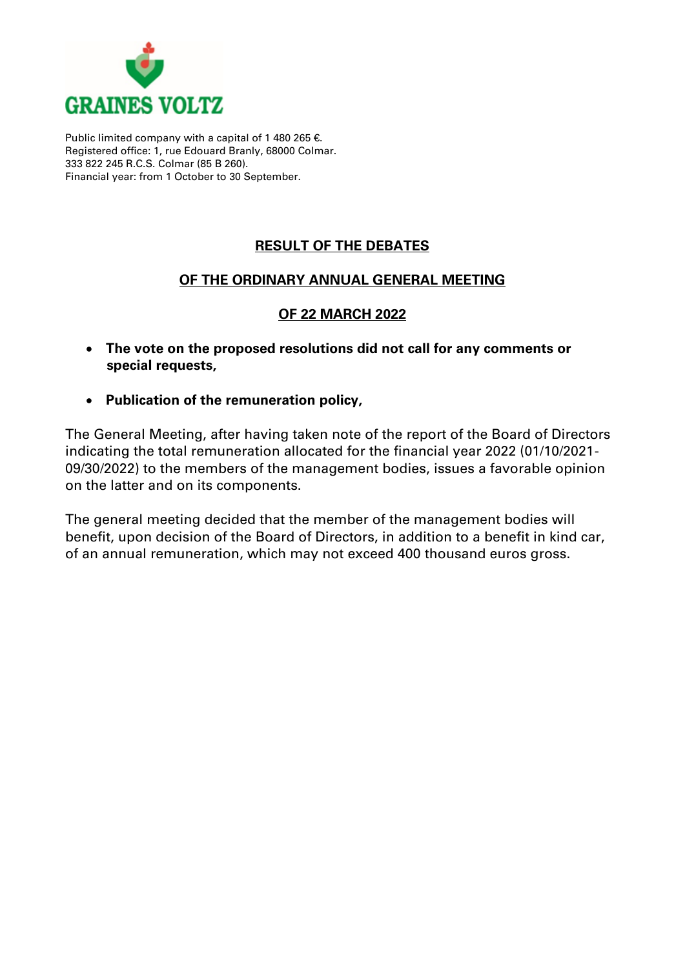

Public limited company with a capital of 1 480 265 €. Registered office: 1, rue Edouard Branly, 68000 Colmar. 333 822 245 R.C.S. Colmar (85 B 260). Financial year: from 1 October to 30 September.

# **RESULT OF THE DEBATES**

## **OF THE ORDINARY ANNUAL GENERAL MEETING**

### **OF 22 MARCH 2022**

- **The vote on the proposed resolutions did not call for any comments or special requests,**
- **Publication of the remuneration policy,**

The General Meeting, after having taken note of the report of the Board of Directors indicating the total remuneration allocated for the financial year 2022 (01/10/2021- 09/30/2022) to the members of the management bodies, issues a favorable opinion on the latter and on its components.

The general meeting decided that the member of the management bodies will benefit, upon decision of the Board of Directors, in addition to a benefit in kind car, of an annual remuneration, which may not exceed 400 thousand euros gross.